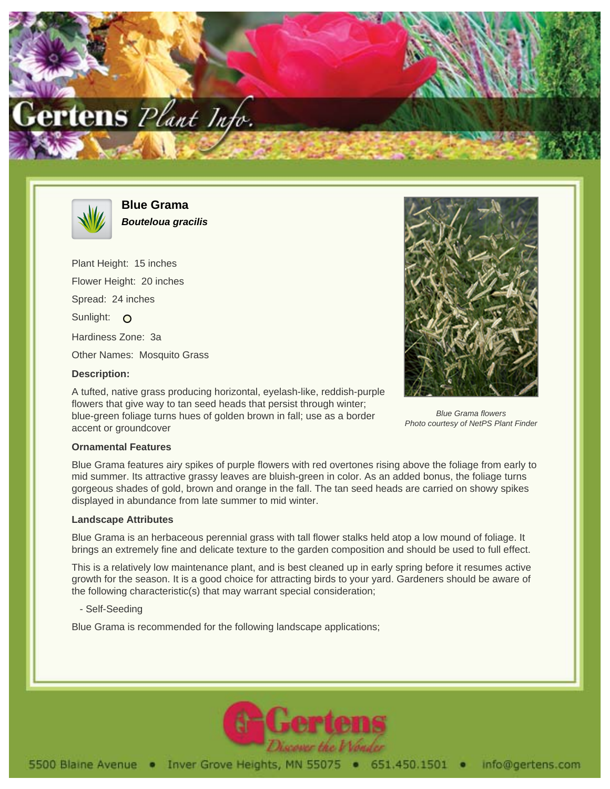



**Blue Grama Bouteloua gracilis**

Plant Height: 15 inches Flower Height: 20 inches Spread: 24 inches Sunlight: O Hardiness Zone: 3a Other Names: Mosquito Grass **Description:**

A tufted, native grass producing horizontal, eyelash-like, reddish-purple flowers that give way to tan seed heads that persist through winter; blue-green foliage turns hues of golden brown in fall; use as a border accent or groundcover



Blue Grama flowers Photo courtesy of NetPS Plant Finder

## **Ornamental Features**

Blue Grama features airy spikes of purple flowers with red overtones rising above the foliage from early to mid summer. Its attractive grassy leaves are bluish-green in color. As an added bonus, the foliage turns gorgeous shades of gold, brown and orange in the fall. The tan seed heads are carried on showy spikes displayed in abundance from late summer to mid winter.

## **Landscape Attributes**

Blue Grama is an herbaceous perennial grass with tall flower stalks held atop a low mound of foliage. It brings an extremely fine and delicate texture to the garden composition and should be used to full effect.

This is a relatively low maintenance plant, and is best cleaned up in early spring before it resumes active growth for the season. It is a good choice for attracting birds to your yard. Gardeners should be aware of the following characteristic(s) that may warrant special consideration;

- Self-Seeding

Blue Grama is recommended for the following landscape applications;